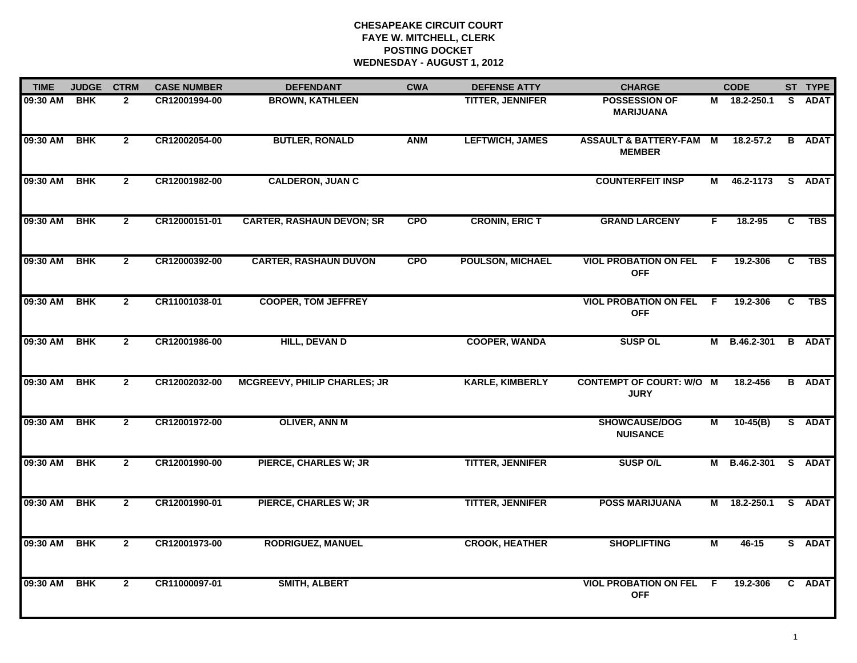# **CHESAPEAKE CIRCUIT COURT FAYE W. MITCHELL, CLERK POSTING DOCKET WEDNESDAY - AUGUST 1, 2012**

| <b>TIME</b> | <b>JUDGE</b> | <b>CTRM</b>    | <b>CASE NUMBER</b> | <b>DEFENDANT</b>                    | <b>CWA</b> | <b>DEFENSE ATTY</b>     | <b>CHARGE</b>                                     |     | <b>CODE</b>         |    | ST TYPE       |
|-------------|--------------|----------------|--------------------|-------------------------------------|------------|-------------------------|---------------------------------------------------|-----|---------------------|----|---------------|
| 09:30 AM    | <b>BHK</b>   | $\mathbf{2}$   | CR12001994-00      | <b>BROWN, KATHLEEN</b>              |            | <b>TITTER, JENNIFER</b> | <b>POSSESSION OF</b><br><b>MARIJUANA</b>          | М   | 18.2-250.1          | S. | <b>ADAT</b>   |
| 09:30 AM    | <b>BHK</b>   | $\mathbf{2}$   | CR12002054-00      | <b>BUTLER, RONALD</b>               | <b>ANM</b> | <b>LEFTWICH, JAMES</b>  | <b>ASSAULT &amp; BATTERY-FAM</b><br><b>MEMBER</b> | M   | 18.2-57.2           |    | <b>B</b> ADAT |
| 09:30 AM    | <b>BHK</b>   | $\mathbf{2}$   | CR12001982-00      | <b>CALDERON, JUAN C</b>             |            |                         | <b>COUNTERFEIT INSP</b>                           | M   | 46.2-1173           |    | S ADAT        |
| 09:30 AM    | <b>BHK</b>   | $\mathbf{2}$   | CR12000151-01      | <b>CARTER, RASHAUN DEVON; SR</b>    | <b>CPO</b> | <b>CRONIN, ERIC T</b>   | <b>GRAND LARCENY</b>                              | F.  | $18.2 - 95$         | C  | <b>TBS</b>    |
| 09:30 AM    | <b>BHK</b>   | $\mathbf{2}$   | CR12000392-00      | <b>CARTER, RASHAUN DUVON</b>        | <b>CPO</b> | <b>POULSON, MICHAEL</b> | <b>VIOL PROBATION ON FEL</b><br><b>OFF</b>        | - F | 19.2-306            | C  | <b>TBS</b>    |
| 09:30 AM    | <b>BHK</b>   | $\mathbf{2}$   | CR11001038-01      | <b>COOPER, TOM JEFFREY</b>          |            |                         | <b>VIOL PROBATION ON FEL</b><br><b>OFF</b>        | - F | 19.2-306            | C  | TBS           |
| 09:30 AM    | <b>BHK</b>   | $\overline{2}$ | CR12001986-00      | <b>HILL, DEVAN D</b>                |            | <b>COOPER, WANDA</b>    | <b>SUSP OL</b>                                    |     | M B.46.2-301        |    | <b>B</b> ADAT |
| 09:30 AM    | <b>BHK</b>   | $\mathbf{2}$   | CR12002032-00      | <b>MCGREEVY, PHILIP CHARLES; JR</b> |            | <b>KARLE, KIMBERLY</b>  | <b>CONTEMPT OF COURT: W/O M</b><br><b>JURY</b>    |     | 18.2-456            |    | <b>B</b> ADAT |
| 09:30 AM    | <b>BHK</b>   | $\mathbf{2}$   | CR12001972-00      | <b>OLIVER, ANN M</b>                |            |                         | SHOWCAUSE/DOG<br><b>NUISANCE</b>                  | М   | $10-45(B)$          |    | S ADAT        |
| 09:30 AM    | <b>BHK</b>   | $\mathbf{2}$   | CR12001990-00      | <b>PIERCE, CHARLES W; JR</b>        |            | <b>TITTER, JENNIFER</b> | <b>SUSP O/L</b>                                   |     | M B.46.2-301 S ADAT |    |               |
| 09:30 AM    | <b>BHK</b>   | $\mathbf{2}$   | CR12001990-01      | <b>PIERCE, CHARLES W; JR</b>        |            | <b>TITTER, JENNIFER</b> | <b>POSS MARIJUANA</b>                             | M   | 18.2-250.1          |    | S ADAT        |
| 09:30 AM    | <b>BHK</b>   | $\mathbf{2}$   | CR12001973-00      | <b>RODRIGUEZ, MANUEL</b>            |            | <b>CROOK, HEATHER</b>   | <b>SHOPLIFTING</b>                                | М   | 46-15               |    | S ADAT        |
| 09:30 AM    | <b>BHK</b>   | $\mathbf{2}$   | CR11000097-01      | <b>SMITH, ALBERT</b>                |            |                         | <b>VIOL PROBATION ON FEL</b><br><b>OFF</b>        | -F  | 19.2-306            |    | C ADAT        |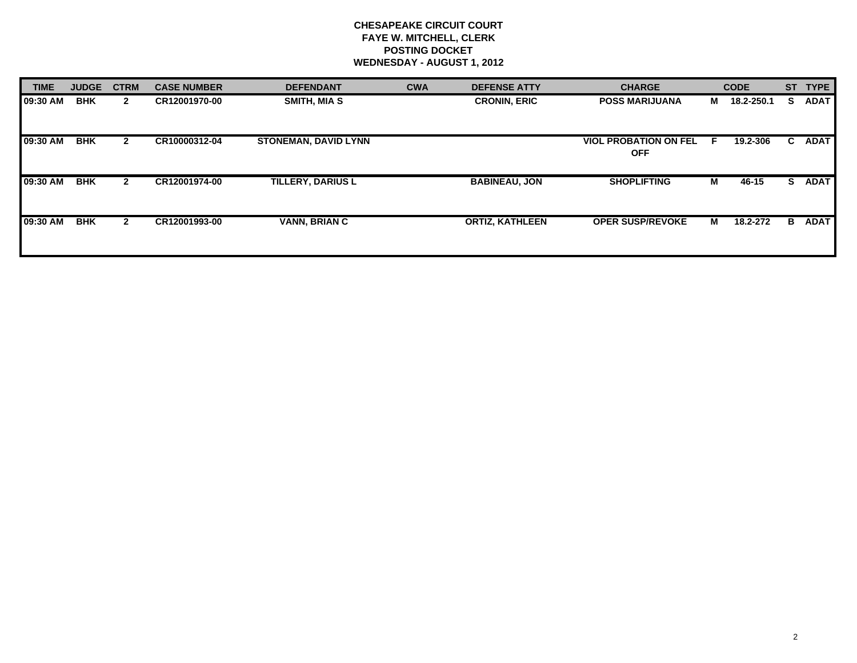# **CHESAPEAKE CIRCUIT COURT FAYE W. MITCHELL, CLERK POSTING DOCKET WEDNESDAY - AUGUST 1, 2012**

| <b>TIME</b> | <b>JUDGE</b> | <b>CTRM</b>  | <b>CASE NUMBER</b> | <b>DEFENDANT</b>            | <b>CWA</b> | <b>DEFENSE ATTY</b>    | <b>CHARGE</b>                              |    | <b>CODE</b> | <b>ST</b> | <b>TYPE</b> |
|-------------|--------------|--------------|--------------------|-----------------------------|------------|------------------------|--------------------------------------------|----|-------------|-----------|-------------|
| 09:30 AM    | <b>BHK</b>   | $\mathbf{2}$ | CR12001970-00      | SMITH, MIA S                |            | <b>CRONIN, ERIC</b>    | <b>POSS MARIJUANA</b>                      | M  | 18.2-250.1  | s         | <b>ADAT</b> |
| 09:30 AM    | <b>BHK</b>   | $\mathbf{2}$ | CR10000312-04      | <b>STONEMAN, DAVID LYNN</b> |            |                        | <b>VIOL PROBATION ON FEL</b><br><b>OFF</b> | -F | 19.2-306    | C.        | <b>ADAT</b> |
| 09:30 AM    | <b>BHK</b>   | $\mathbf{2}$ | CR12001974-00      | <b>TILLERY, DARIUS L</b>    |            | <b>BABINEAU, JON</b>   | <b>SHOPLIFTING</b>                         | M  | 46-15       | S.        | <b>ADAT</b> |
| 09:30 AM    | <b>BHK</b>   | $\mathbf{2}$ | CR12001993-00      | <b>VANN, BRIAN C</b>        |            | <b>ORTIZ, KATHLEEN</b> | <b>OPER SUSP/REVOKE</b>                    | M  | 18.2-272    | В         | <b>ADAT</b> |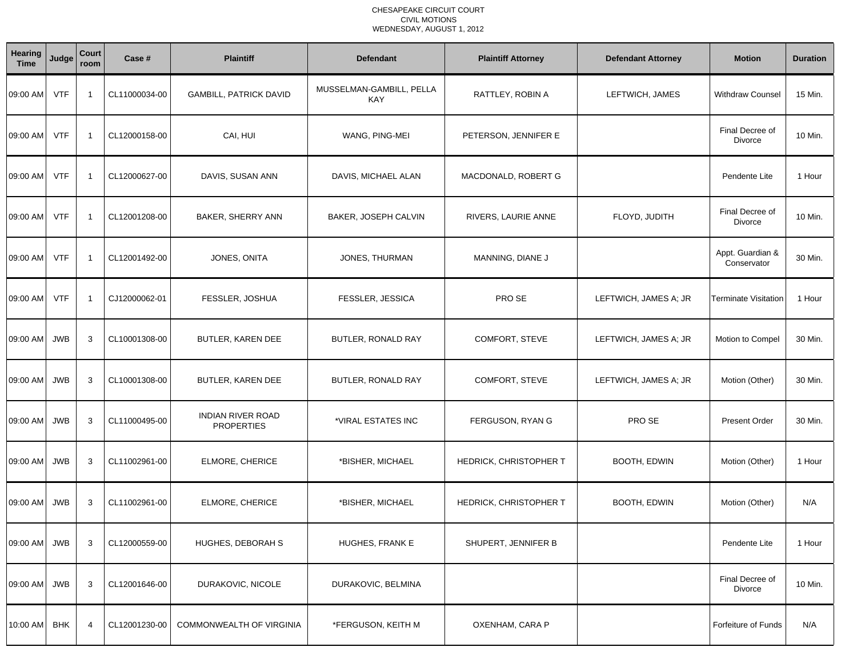### CHESAPEAKE CIRCUIT COURT CIVIL MOTIONSWEDNESDAY, AUGUST 1, 2012

| Hearing<br><b>Time</b> | Judge      | Court<br>room  | Case #        | <b>Plaintiff</b>                              | <b>Defendant</b>                       | <b>Plaintiff Attorney</b> | <b>Defendant Attorney</b> | <b>Motion</b>                   | <b>Duration</b> |
|------------------------|------------|----------------|---------------|-----------------------------------------------|----------------------------------------|---------------------------|---------------------------|---------------------------------|-----------------|
| 09:00 AM               | <b>VTF</b> | -1             | CL11000034-00 | <b>GAMBILL, PATRICK DAVID</b>                 | MUSSELMAN-GAMBILL, PELLA<br><b>KAY</b> | RATTLEY, ROBIN A          | LEFTWICH, JAMES           | <b>Withdraw Counsel</b>         | 15 Min.         |
| 09:00 AM               | <b>VTF</b> | $\overline{1}$ | CL12000158-00 | CAI, HUI                                      | WANG, PING-MEI                         | PETERSON, JENNIFER E      |                           | Final Decree of<br>Divorce      | 10 Min.         |
| 09:00 AM               | <b>VTF</b> | -1             | CL12000627-00 | DAVIS, SUSAN ANN                              | DAVIS, MICHAEL ALAN                    | MACDONALD, ROBERT G       |                           | Pendente Lite                   | 1 Hour          |
| 09:00 AM               | <b>VTF</b> | -1             | CL12001208-00 | BAKER, SHERRY ANN                             | BAKER, JOSEPH CALVIN                   | RIVERS, LAURIE ANNE       | FLOYD, JUDITH             | Final Decree of<br>Divorce      | 10 Min.         |
| 09:00 AM               | <b>VTF</b> | $\overline{1}$ | CL12001492-00 | JONES, ONITA                                  | JONES, THURMAN                         | MANNING, DIANE J          |                           | Appt. Guardian &<br>Conservator | 30 Min.         |
| 09:00 AM               | <b>VTF</b> | -1             | CJ12000062-01 | FESSLER, JOSHUA                               | FESSLER, JESSICA                       | PRO SE                    | LEFTWICH, JAMES A; JR     | Terminate Visitation            | 1 Hour          |
| 09:00 AM               | JWB        | 3              | CL10001308-00 | BUTLER, KAREN DEE                             | BUTLER, RONALD RAY                     | COMFORT, STEVE            | LEFTWICH, JAMES A; JR     | Motion to Compel                | 30 Min.         |
| 09:00 AM               | <b>JWB</b> | 3              | CL10001308-00 | BUTLER, KAREN DEE                             | BUTLER, RONALD RAY                     | COMFORT, STEVE            | LEFTWICH, JAMES A; JR     | Motion (Other)                  | 30 Min.         |
| 09:00 AM               | <b>JWB</b> | 3              | CL11000495-00 | <b>INDIAN RIVER ROAD</b><br><b>PROPERTIES</b> | *VIRAL ESTATES INC                     | FERGUSON, RYAN G          | PRO SE                    | <b>Present Order</b>            | 30 Min.         |
| 09:00 AM               | <b>JWB</b> | 3              | CL11002961-00 | ELMORE, CHERICE                               | *BISHER, MICHAEL                       | HEDRICK, CHRISTOPHER T    | BOOTH, EDWIN              | Motion (Other)                  | 1 Hour          |
| 09:00 AM               | JWB        | 3              | CL11002961-00 | ELMORE, CHERICE                               | *BISHER, MICHAEL                       | HEDRICK, CHRISTOPHER T    | <b>BOOTH, EDWIN</b>       | Motion (Other)                  | N/A             |
| 09:00 AM JWB           |            | 3              | CL12000559-00 | HUGHES, DEBORAH S                             | HUGHES, FRANK E                        | SHUPERT, JENNIFER B       |                           | Pendente Lite                   | 1 Hour          |
| 09:00 AM               | JWB        | 3              | CL12001646-00 | DURAKOVIC, NICOLE                             | DURAKOVIC, BELMINA                     |                           |                           | Final Decree of<br>Divorce      | 10 Min.         |
| 10:00 AM BHK           |            | 4              | CL12001230-00 | COMMONWEALTH OF VIRGINIA                      | *FERGUSON, KEITH M                     | OXENHAM, CARA P           |                           | Forfeiture of Funds             | N/A             |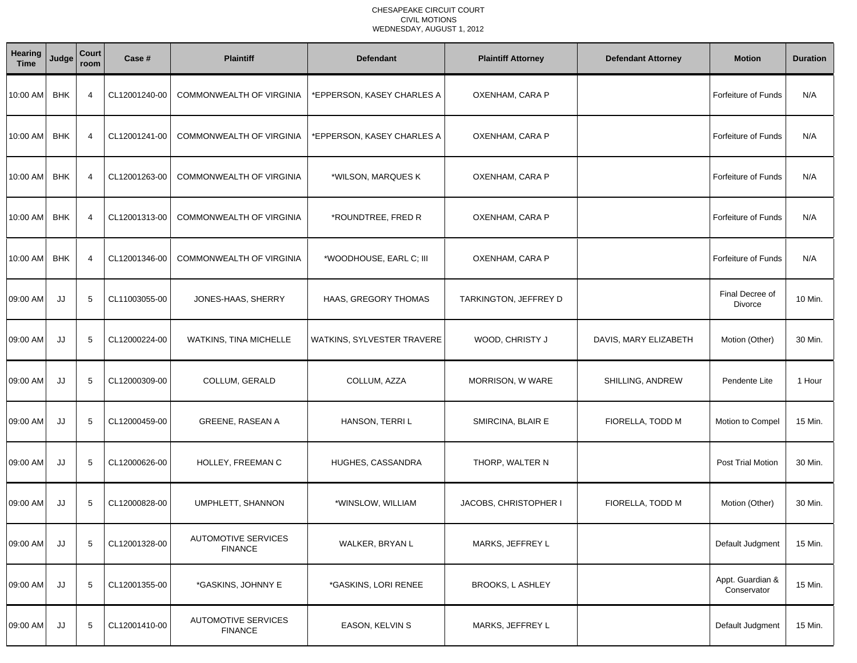### CHESAPEAKE CIRCUIT COURT CIVIL MOTIONSWEDNESDAY, AUGUST 1, 2012

| Hearing<br><b>Time</b> | Judge      | <b>Court</b><br>room | Case #        | <b>Plaintiff</b>                             | <b>Defendant</b>           | <b>Plaintiff Attorney</b> | <b>Defendant Attorney</b> | <b>Motion</b>                   | <b>Duration</b> |
|------------------------|------------|----------------------|---------------|----------------------------------------------|----------------------------|---------------------------|---------------------------|---------------------------------|-----------------|
| 10:00 AM               | <b>BHK</b> | 4                    | CL12001240-00 | COMMONWEALTH OF VIRGINIA                     | *EPPERSON, KASEY CHARLES A | OXENHAM, CARA P           |                           | Forfeiture of Funds             | N/A             |
| 10:00 AM               | <b>BHK</b> | $\overline{4}$       | CL12001241-00 | COMMONWEALTH OF VIRGINIA                     | *EPPERSON, KASEY CHARLES A | OXENHAM, CARA P           |                           | Forfeiture of Funds             | N/A             |
| 10:00 AM               | <b>BHK</b> | 4                    | CL12001263-00 | COMMONWEALTH OF VIRGINIA                     | *WILSON, MARQUES K         | OXENHAM, CARA P           |                           | Forfeiture of Funds             | N/A             |
| 10:00 AM               | <b>BHK</b> | $\overline{4}$       | CL12001313-00 | COMMONWEALTH OF VIRGINIA                     | *ROUNDTREE, FRED R         | OXENHAM, CARA P           |                           | Forfeiture of Funds             | N/A             |
| 10:00 AM               | <b>BHK</b> | 4                    | CL12001346-00 | COMMONWEALTH OF VIRGINIA                     | *WOODHOUSE, EARL C; III    | OXENHAM, CARA P           |                           | Forfeiture of Funds             | N/A             |
| 09:00 AM               | JJ         | 5                    | CL11003055-00 | JONES-HAAS, SHERRY                           | HAAS, GREGORY THOMAS       | TARKINGTON, JEFFREY D     |                           | Final Decree of<br>Divorce      | 10 Min.         |
| 09:00 AM               | JJ         | 5                    | CL12000224-00 | WATKINS, TINA MICHELLE                       | WATKINS, SYLVESTER TRAVERE | WOOD, CHRISTY J           | DAVIS, MARY ELIZABETH     | Motion (Other)                  | 30 Min.         |
| 09:00 AM               | JJ         | 5                    | CL12000309-00 | COLLUM, GERALD                               | COLLUM, AZZA               | MORRISON, W WARE          | SHILLING, ANDREW          | Pendente Lite                   | 1 Hour          |
| 09:00 AM               | JJ         | 5                    | CL12000459-00 | <b>GREENE, RASEAN A</b>                      | HANSON, TERRI L            | SMIRCINA, BLAIR E         | FIORELLA, TODD M          | Motion to Compel                | 15 Min.         |
| 09:00 AM               | JJ         | 5                    | CL12000626-00 | HOLLEY, FREEMAN C                            | HUGHES, CASSANDRA          | THORP, WALTER N           |                           | Post Trial Motion               | 30 Min.         |
| 09:00 AM               | JJ         | 5                    | CL12000828-00 | UMPHLETT, SHANNON                            | *WINSLOW, WILLIAM          | JACOBS, CHRISTOPHER I     | FIORELLA, TODD M          | Motion (Other)                  | 30 Min.         |
| 09:00 AM               | JJ         | 5                    | CL12001328-00 | <b>AUTOMOTIVE SERVICES</b><br><b>FINANCE</b> | WALKER, BRYAN L            | MARKS, JEFFREY L          |                           | Default Judgment                | 15 Min.         |
| 09:00 AM               | JJ         | 5                    | CL12001355-00 | *GASKINS, JOHNNY E                           | *GASKINS, LORI RENEE       | <b>BROOKS, L ASHLEY</b>   |                           | Appt. Guardian &<br>Conservator | 15 Min.         |
| 09:00 AM               | JJ         | 5                    | CL12001410-00 | <b>AUTOMOTIVE SERVICES</b><br><b>FINANCE</b> | <b>EASON, KELVIN S</b>     | MARKS, JEFFREY L          |                           | Default Judgment                | 15 Min.         |